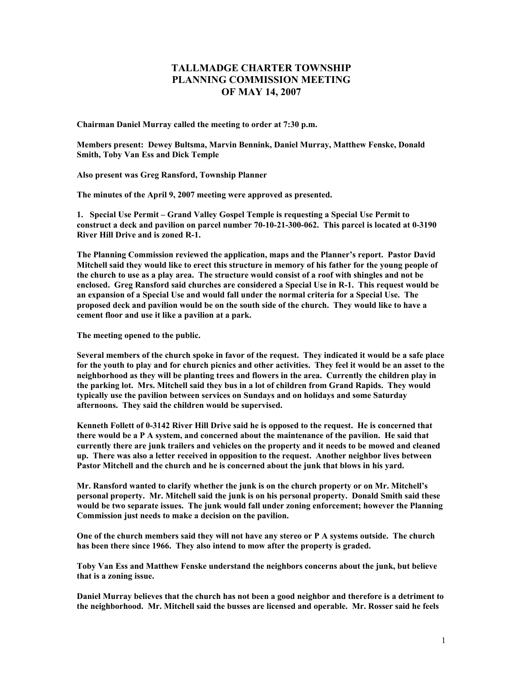## **TALLMADGE CHARTER TOWNSHIP PLANNING COMMISSION MEETING OF MAY 14, 2007**

**Chairman Daniel Murray called the meeting to order at 7:30 p.m.** 

**Members present: Dewey Bultsma, Marvin Bennink, Daniel Murray, Matthew Fenske, Donald Smith, Toby Van Ess and Dick Temple** 

**Also present was Greg Ransford, Township Planner** 

**The minutes of the April 9, 2007 meeting were approved as presented.** 

**1. Special Use Permit – Grand Valley Gospel Temple is requesting a Special Use Permit to construct a deck and pavilion on parcel number 70-10-21-300-062. This parcel is located at 0-3190 River Hill Drive and is zoned R-1.** 

**The Planning Commission reviewed the application, maps and the Planner's report. Pastor David Mitchell said they would like to erect this structure in memory of his father for the young people of the church to use as a play area. The structure would consist of a roof with shingles and not be enclosed. Greg Ransford said churches are considered a Special Use in R-1. This request would be an expansion of a Special Use and would fall under the normal criteria for a Special Use. The proposed deck and pavilion would be on the south side of the church. They would like to have a cement floor and use it like a pavilion at a park.** 

**The meeting opened to the public.** 

**Several members of the church spoke in favor of the request. They indicated it would be a safe place for the youth to play and for church picnics and other activities. They feel it would be an asset to the neighborhood as they will be planting trees and flowers in the area. Currently the children play in the parking lot. Mrs. Mitchell said they bus in a lot of children from Grand Rapids. They would typically use the pavilion between services on Sundays and on holidays and some Saturday afternoons. They said the children would be supervised.** 

**Kenneth Follett of 0-3142 River Hill Drive said he is opposed to the request. He is concerned that there would be a P A system, and concerned about the maintenance of the pavilion. He said that currently there are junk trailers and vehicles on the property and it needs to be mowed and cleaned up. There was also a letter received in opposition to the request. Another neighbor lives between Pastor Mitchell and the church and he is concerned about the junk that blows in his yard.** 

**Mr. Ransford wanted to clarify whether the junk is on the church property or on Mr. Mitchell's personal property. Mr. Mitchell said the junk is on his personal property. Donald Smith said these would be two separate issues. The junk would fall under zoning enforcement; however the Planning Commission just needs to make a decision on the pavilion.** 

**One of the church members said they will not have any stereo or P A systems outside. The church has been there since 1966. They also intend to mow after the property is graded.** 

**Toby Van Ess and Matthew Fenske understand the neighbors concerns about the junk, but believe that is a zoning issue.** 

**Daniel Murray believes that the church has not been a good neighbor and therefore is a detriment to the neighborhood. Mr. Mitchell said the busses are licensed and operable. Mr. Rosser said he feels**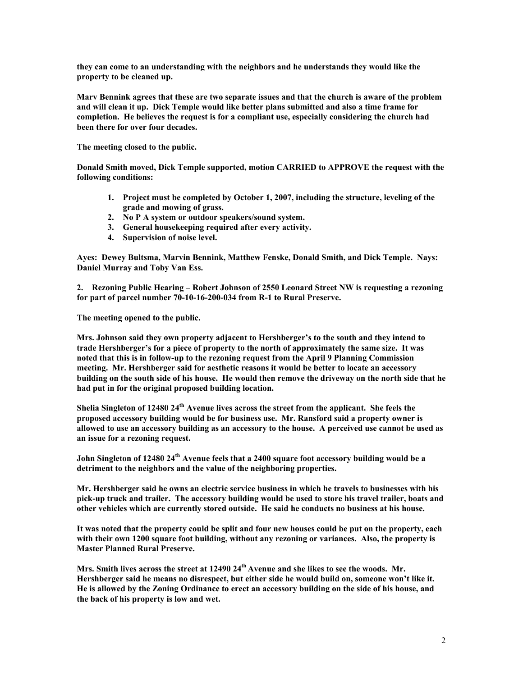**they can come to an understanding with the neighbors and he understands they would like the property to be cleaned up.** 

**Marv Bennink agrees that these are two separate issues and that the church is aware of the problem and will clean it up. Dick Temple would like better plans submitted and also a time frame for completion. He believes the request is for a compliant use, especially considering the church had been there for over four decades.** 

**The meeting closed to the public.** 

**Donald Smith moved, Dick Temple supported, motion CARRIED to APPROVE the request with the following conditions:** 

- **1. Project must be completed by October 1, 2007, including the structure, leveling of the grade and mowing of grass.**
- **2. No P A system or outdoor speakers/sound system.**
- **3. General housekeeping required after every activity.**
- **4. Supervision of noise level.**

**Ayes: Dewey Bultsma, Marvin Bennink, Matthew Fenske, Donald Smith, and Dick Temple. Nays: Daniel Murray and Toby Van Ess.** 

**2. Rezoning Public Hearing – Robert Johnson of 2550 Leonard Street NW is requesting a rezoning for part of parcel number 70-10-16-200-034 from R-1 to Rural Preserve.** 

**The meeting opened to the public.** 

**Mrs. Johnson said they own property adjacent to Hershberger's to the south and they intend to trade Hershberger's for a piece of property to the north of approximately the same size. It was noted that this is in follow-up to the rezoning request from the April 9 Planning Commission meeting. Mr. Hershberger said for aesthetic reasons it would be better to locate an accessory building on the south side of his house. He would then remove the driveway on the north side that he had put in for the original proposed building location.** 

**Shelia Singleton of 12480 24th Avenue lives across the street from the applicant. She feels the proposed accessory building would be for business use. Mr. Ransford said a property owner is allowed to use an accessory building as an accessory to the house. A perceived use cannot be used as an issue for a rezoning request.** 

**John Singleton of 12480 24th Avenue feels that a 2400 square foot accessory building would be a detriment to the neighbors and the value of the neighboring properties.** 

**Mr. Hershberger said he owns an electric service business in which he travels to businesses with his pick-up truck and trailer. The accessory building would be used to store his travel trailer, boats and other vehicles which are currently stored outside. He said he conducts no business at his house.** 

**It was noted that the property could be split and four new houses could be put on the property, each with their own 1200 square foot building, without any rezoning or variances. Also, the property is Master Planned Rural Preserve.** 

Mrs. Smith lives across the street at 12490 24<sup>th</sup> Avenue and she likes to see the woods. Mr. **Hershberger said he means no disrespect, but either side he would build on, someone won't like it. He is allowed by the Zoning Ordinance to erect an accessory building on the side of his house, and the back of his property is low and wet.**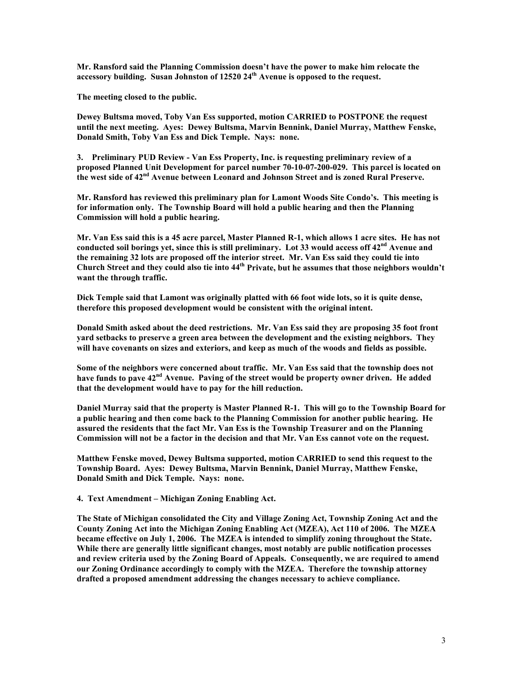**Mr. Ransford said the Planning Commission doesn't have the power to make him relocate the accessory building. Susan Johnston of 12520 24th Avenue is opposed to the request.** 

**The meeting closed to the public.** 

**Dewey Bultsma moved, Toby Van Ess supported, motion CARRIED to POSTPONE the request until the next meeting. Ayes: Dewey Bultsma, Marvin Bennink, Daniel Murray, Matthew Fenske, Donald Smith, Toby Van Ess and Dick Temple. Nays: none.** 

**3. Preliminary PUD Review - Van Ess Property, Inc. is requesting preliminary review of a proposed Planned Unit Development for parcel number 70-10-07-200-029. This parcel is located on the west side of 42nd Avenue between Leonard and Johnson Street and is zoned Rural Preserve.** 

**Mr. Ransford has reviewed this preliminary plan for Lamont Woods Site Condo's. This meeting is for information only. The Township Board will hold a public hearing and then the Planning Commission will hold a public hearing.** 

**Mr. Van Ess said this is a 45 acre parcel, Master Planned R-1, which allows 1 acre sites. He has not**  conducted soil borings yet, since this is still preliminary. Lot 33 would access off 42<sup>nd</sup> Avenue and **the remaining 32 lots are proposed off the interior street. Mr. Van Ess said they could tie into Church Street and they could also tie into 44th Private, but he assumes that those neighbors wouldn't want the through traffic.** 

**Dick Temple said that Lamont was originally platted with 66 foot wide lots, so it is quite dense, therefore this proposed development would be consistent with the original intent.** 

**Donald Smith asked about the deed restrictions. Mr. Van Ess said they are proposing 35 foot front yard setbacks to preserve a green area between the development and the existing neighbors. They will have covenants on sizes and exteriors, and keep as much of the woods and fields as possible.** 

**Some of the neighbors were concerned about traffic. Mr. Van Ess said that the township does not have funds to pave 42nd Avenue. Paving of the street would be property owner driven. He added that the development would have to pay for the hill reduction.** 

**Daniel Murray said that the property is Master Planned R-1. This will go to the Township Board for a public hearing and then come back to the Planning Commission for another public hearing. He assured the residents that the fact Mr. Van Ess is the Township Treasurer and on the Planning Commission will not be a factor in the decision and that Mr. Van Ess cannot vote on the request.** 

**Matthew Fenske moved, Dewey Bultsma supported, motion CARRIED to send this request to the Township Board. Ayes: Dewey Bultsma, Marvin Bennink, Daniel Murray, Matthew Fenske, Donald Smith and Dick Temple. Nays: none.** 

**4. Text Amendment – Michigan Zoning Enabling Act.** 

**The State of Michigan consolidated the City and Village Zoning Act, Township Zoning Act and the County Zoning Act into the Michigan Zoning Enabling Act (MZEA), Act 110 of 2006. The MZEA became effective on July 1, 2006. The MZEA is intended to simplify zoning throughout the State. While there are generally little significant changes, most notably are public notification processes and review criteria used by the Zoning Board of Appeals. Consequently, we are required to amend our Zoning Ordinance accordingly to comply with the MZEA. Therefore the township attorney drafted a proposed amendment addressing the changes necessary to achieve compliance.**